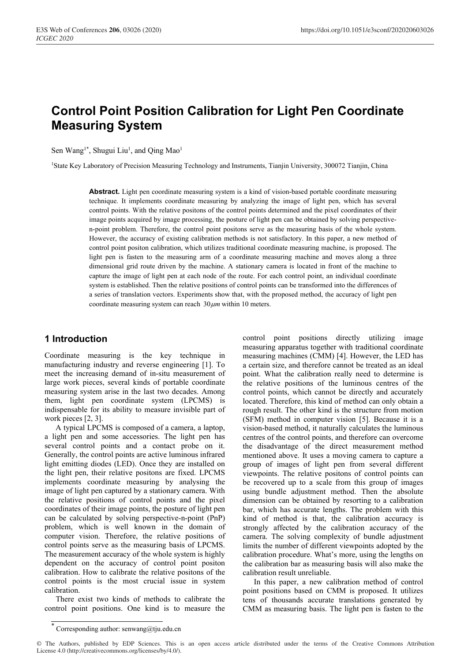# **Control Point Position Calibration for Light Pen Coordinate Measuring System**

Sen Wang<sup>1\*</sup>, Shugui Liu<sup>1</sup>, and Qing Mao<sup>1</sup>

1State Key Laboratory of Precision Measuring Technology and Instruments, Tianjin University, 300072 Tianjin, China

Abstract. Light pen coordinate measuring system is a kind of vision-based portable coordinate measuring technique. It implements coordinate measuring by analyzing the image of light pen, which has several control points. With the relative positons of the control points determined and the pixel coordinates of their image points acquired by image processing, the posture of light pen can be obtained by solving perspectiven-point problem. Therefore, the control point positons serve as the measuring basis of the whole system. However, the accuracy of existing calibration methods is not satisfactory. In this paper, a new method of control point positon calibration, which utilizes traditional coordinate measuring machine, is proposed. The light pen is fasten to the measuring arm of a coordinate measuring machine and moves along a three dimensional grid route driven by the machine. A stationary camera is located in front of the machine to capture the image of light pen at each node of the route. For each control point, an individual coordinate system is established. Then the relative positions of control points can be transformed into the differences of a series of translation vectors. Experiments show that, with the proposed method, the accuracy of light pen coordinate measuring system can reach  $30 \mu m$  within 10 meters.

## **1 Introduction**

Coordinate measuring is the key technique in manufacturing industry and reverse engineering [1]. To meet the increasing demand of in-situ measurement of large work pieces, several kinds of portable coordinate measuring system arise in the last two decades. Among them, light pen coordinate system (LPCMS) is indispensable for its ability to measure invisible part of work pieces [2, 3].

A typical LPCMS is composed of a camera, a laptop, a light pen and some accessories. The light pen has several control points and a contact probe on it. Generally, the control points are active luminous infrared light emitting diodes (LED). Once they are installed on the light pen, their relative positons are fixed. LPCMS implements coordinate measuring by analysing the image of light pen captured by a stationary camera. With the relative positions of control points and the pixel coordinates of their image points, the posture of light pen can be calculated by solving perspective-n-point (PnP) problem, which is well known in the domain of computer vision. Therefore, the relative positions of control points serve as the measuring basis of LPCMS. The measurement accuracy of the whole system is highly dependent on the accuracy of control point positon calibration. How to calibrate the relative positons of the control points is the most crucial issue in system calibration.

There exist two kinds of methods to calibrate the control point positions. One kind is to measure the

control point positions directly utilizing image measuring apparatus together with traditional coordinate measuring machines (CMM) [4]. However, the LED has a certain size, and therefore cannot be treated as an ideal point. What the calibration really need to determine is the relative positions of the luminous centres of the control points, which cannot be directly and accurately located. Therefore, this kind of method can only obtain a rough result. The other kind is the structure from motion (SFM) method in computer vision [5]. Because it is a vision-based method, it naturally calculates the luminous centres of the control points, and therefore can overcome the disadvantage of the direct measurement method mentioned above. It uses a moving camera to capture a group of images of light pen from several different viewpoints. The relative positons of control points can be recovered up to a scale from this group of images using bundle adjustment method. Then the absolute dimension can be obtained by resorting to a calibration bar, which has accurate lengths. The problem with this kind of method is that, the calibration accuracy is strongly affected by the calibration accuracy of the camera. The solving complexity of bundle adjustment limits the number of different viewpoints adopted by the calibration procedure. What's more, using the lengths on the calibration bar as measuring basis will also make the calibration result unreliable.

In this paper, a new calibration method of control point positions based on CMM is proposed. It utilizes tens of thousands accurate translations generated by CMM as measuring basis. The light pen is fasten to the

<sup>\*</sup> Corresponding author: senwang@tju.edu.cn

<sup>©</sup> The Authors, published by EDP Sciences. This is an open access article distributed under the terms of the Creative Commons Attribution License 4.0 (http://creativecommons.org/licenses/by/4.0/).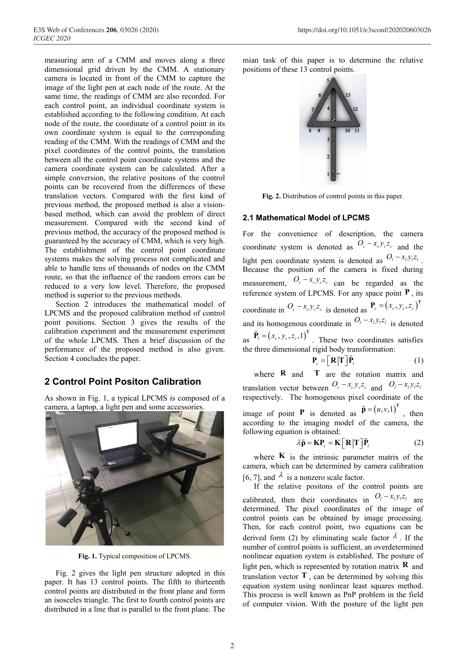measuring arm of a CMM and moves along a three dimensional grid driven by the CMM. A stationary camera is located in front of the CMM to capture the image of the light pen at each node of the route. At the same time, the readings of CMM are also recorded. For each control point, an individual coordinate system is established according to the following condition. At each node of the route, the coordinate of a control point in its own coordinate system is equal to the corresponding reading of the CMM. With the readings of CMM and the pixel coordinates of the control points, the translation between all the control point coordinate systems and the camera coordinate system can be calculated. After a simple conversion, the relative positons of the control points can be recovered from the differences of these translation vectors. Compared with the first kind of previous method, the proposed method is also a visionbased method, which can avoid the problem of direct measurement. Compared with the second kind of previous method, the accuracy of the proposed method is guaranteed by the accuracy of CMM, which is very high. The establishment of the control point coordinate systems makes the solving process not complicated and able to handle tens of thousands of nodes on the CMM route, so that the influence of the random errors can be reduced to a very low level. Therefore, the proposed method is superior to the previous methods.

Section 2 introduces the mathematical model of LPCMS and the proposed calibration method of control point positions. Section 3 gives the results of the calibration experiment and the measurement experiment of the whole LPCMS. Then a brief discussion of the performance of the proposed method is also given. Section 4 concludes the paper.

## **2 Control Point Positon Calibration**

As shown in Fig. 1, a typical LPCMS is composed of a camera, a laptop, a light pen and some accessories.



**Fig. 1.** Typical composition of LPCMS.

Fig. 2 gives the light pen structure adopted in this paper. It has 13 control points. The fifth to thirteenth control points are distributed in the front plane and form an isosceles triangle. The first to fourth control points are distributed in a line that is parallel to the front plane. The

mian task of this paper is to determine the relative positions of these 13 control points.



**Fig. 2.** Distribution of control points in this paper.

#### **2.1 Mathematical Model of LPCMS**

For the convenience of description, the camera coordinate system is denoted as  $O_c - x_c y_c z_c$  and the light pen coordinate system is denoted as  $O_l - x_l y_l z_l$ . Because the position of the camera is fixed during measurement,  $O_c - x_c y_c z_c$  can be regarded as the reference system of LPCMS. For any space point **P** , its coordinate in  $O_c - x_c y_c z_c$  is denoted as  $P_c = (x_c, y_c, z_c)^T$ and its homogenous coordinate in  $O_l - x_l y_l z_l$  is denoted as  $\tilde{P}_l = (x_c, y_c, z_c, 1)^T$ . These two coordinates satisfies the three dimensional rigid body transformation:

$$
\mathbf{P}_c = \left[ \mathbf{R} | \mathbf{T} \right] \tilde{\mathbf{P}}_l \tag{1}
$$

where **R** and **T** are the rotation matrix and translation vector between  $O_c - x_c y_c z_c$  and  $O_l - x_l y_l z_l$ respectively. The homogenous pixel coordinate of the image of point **P** is denoted as  $\tilde{p} = (u, v, 1)^T$ , then according to the imaging model of the camera, the following equation is obtained:

$$
\lambda \tilde{\mathbf{p}} = \mathbf{K} \mathbf{P}_c = \mathbf{K} \left[ \mathbf{R} | \mathbf{T} \right] \tilde{\mathbf{P}}_l \tag{2}
$$

where  $\bf{K}$  is the intrinsic parameter matrix of the camera, which can be determined by camera calibration [6, 7], and  $\lambda$  is a nonzero scale factor.

If the relative positons of the control points are calibrated, then their coordinates in  $O_l - x_l y_l z_l$  are determined. The pixel coordinates of the image of control points can be obtained by image processing. Then, for each control point, two equations can be derived form (2) by eliminating scale factor  $\lambda$ . If the number of control points is sufficient, an overdetermined nonlinear equation system is established. The posture of light pen, which is represented by rotation matrix **R** and translation vector  $\mathbf{T}$ , can be determined by solving this equation system using nonlinear least squares method. This process is well known as PnP problem in the field of computer vision. With the posture of the light pen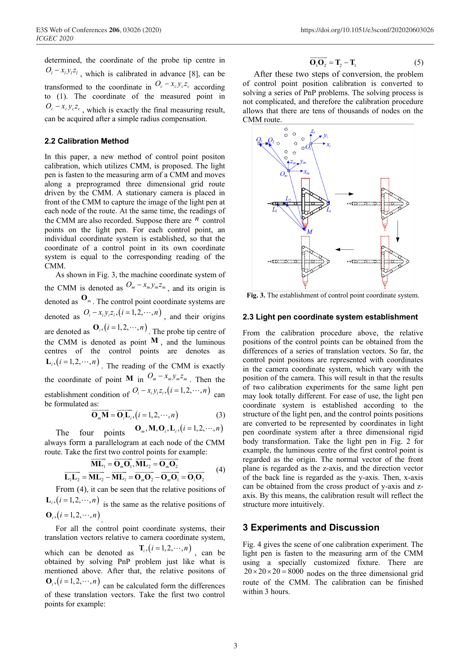determined, the coordinate of the probe tip centre in  $O_l - x_l y_l z_l$ , which is calibrated in advance [8], can be transformed to the coordinate in  $O_c - x_c y_c z_c$  according to (1). The coordinate of the measured point in  $O_c - x_c y_c z_c$ , which is exactly the final measuring result, can be acquired after a simple radius compensation.

#### **2.2 Calibration Method**

In this paper, a new method of control point positon calibration, which utilizes CMM, is proposed. The light pen is fasten to the measuring arm of a CMM and moves along a preprogramed three dimensional grid route driven by the CMM. A stationary camera is placed in front of the CMM to capture the image of the light pen at each node of the route. At the same time, the readings of the CMM are also recorded. Suppose there are  $<sup>n</sup>$  control</sup> points on the light pen. For each control point, an individual coordinate system is established, so that the coordinate of a control point in its own coordinate system is equal to the corresponding reading of the CMM.

As shown in Fig. 3, the machine coordinate system of the CMM is denoted as  $O_m - x_m y_m z_m$ , and its origin is denoted as **O***<sup>m</sup>* . The control point coordinate systems are denoted as  $O_i - x_i y_i z_i$ ,  $(i = 1, 2, \dots, n)$ , and their origins are denoted as  $\mathbf{O}_i$ ,  $(i = 1, 2, \dots, n)$ . The probe tip centre of the CMM is denoted as point  $M$ , and the luminous centres of the control points are denotes as  $\mathbf{L}_i$ ,  $(i = 1, 2, \dots, n)$ . The reading of the CMM is exactly the coordinate of point **M** in  $O_m - x_m y_m z_m$ . Then the establishment condition of  $O_i - x_i y_i z_i$ ,  $(i = 1, 2, \dots, n)$  can be formulated as:

$$
\overrightarrow{\mathbf{O}_{m}\mathbf{M}} = \overrightarrow{\mathbf{O}_{i}\mathbf{L}_{i}}, (i = 1, 2, \cdots, n)
$$
 (3)

The four points 
$$
\mathbf{O}_m, \mathbf{M}, \mathbf{O}_i, \mathbf{L}_i, (i = 1, 2, \cdots, n)
$$

always form a parallelogram at each node of the CMM route. Take the first two control points for example:

$$
\overrightarrow{\mathbf{L}_{1}\mathbf{L}_{2}} = \overrightarrow{\mathbf{M}\mathbf{L}_{1}} = \overrightarrow{\mathbf{O}_{m}\mathbf{O}_{1}}, \overrightarrow{\mathbf{M}\mathbf{L}_{2}} = \overrightarrow{\mathbf{O}_{m}\mathbf{O}_{2}}
$$
\n
$$
\overrightarrow{\mathbf{L}_{1}\mathbf{L}_{2}} = \overrightarrow{\mathbf{M}\mathbf{L}_{2}} - \overrightarrow{\mathbf{M}\mathbf{L}_{1}} = \overrightarrow{\mathbf{O}_{m}\mathbf{O}_{2}} - \overrightarrow{\mathbf{O}_{m}\mathbf{O}_{1}} = \overrightarrow{\mathbf{O}_{1}\mathbf{O}_{2}} \qquad (4)
$$

From (4), it can be seen that the relative positions of  $\mathbf{L}_i$ ,  $(i = 1, 2, \dots, n)$  is the same as the relative positions of  ${\bf O}_i$ ,  $(i = 1, 2, \cdots, n)$ 

For all the control point coordinate systems, their translation vectors relative to camera coordinate system, which can be denoted as  $\mathbf{T}_i$ ,  $(i = 1, 2, \dots, n)$ , can be obtained by solving PnP problem just like what is mentioned above. After that, the relative positons of  $\mathbf{O}_i$ ,  $(i = 1, 2, \dots, n)$  can be calculated form the differences of these translation vectors. Take the first two control points for example:

$$
\overrightarrow{\mathbf{O}_1\mathbf{O}_2} = \mathbf{T}_2 - \mathbf{T}_1
$$
 (5)

After these two steps of conversion, the problem of control point position calibration is converted to solving a series of PnP problems. The solving process is not complicated, and therefore the calibration procedure allows that there are tens of thousands of nodes on the CMM route.



**Fig. 3.** The establishment of control point coordinate system.

#### **2.3 Light pen coordinate system establishment**

From the calibration procedure above, the relative positions of the control points can be obtained from the differences of a series of translation vectors. So far, the control point positons are represented with coordinates in the camera coordinate system, which vary with the position of the camera. This will result in that the results of two calibration experiments for the same light pen may look totally different. For ease of use, the light pen coordinate system is established according to the structure of the light pen, and the control points positions are converted to be represented by coordinates in light pen coordinate system after a three dimensional rigid body transformation. Take the light pen in Fig. 2 for example, the luminous centre of the first control point is regarded as the origin. The normal vector of the front plane is regarded as the z-axis, and the direction vector of the back line is regarded as the y-axis. Then, x-axis can be obtained from the cross product of y-axis and zaxis. By this means, the calibration result will reflect the structure more intuitively.

#### **3 Experiments and Discussion**

Fig. 4 gives the scene of one calibration experiment. The light pen is fasten to the measuring arm of the CMM using a specially customized fixture. There are  $20 \times 20 \times 20 = 8000$  nodes on the three dimensional grid route of the CMM. The calibration can be finished within 3 hours.